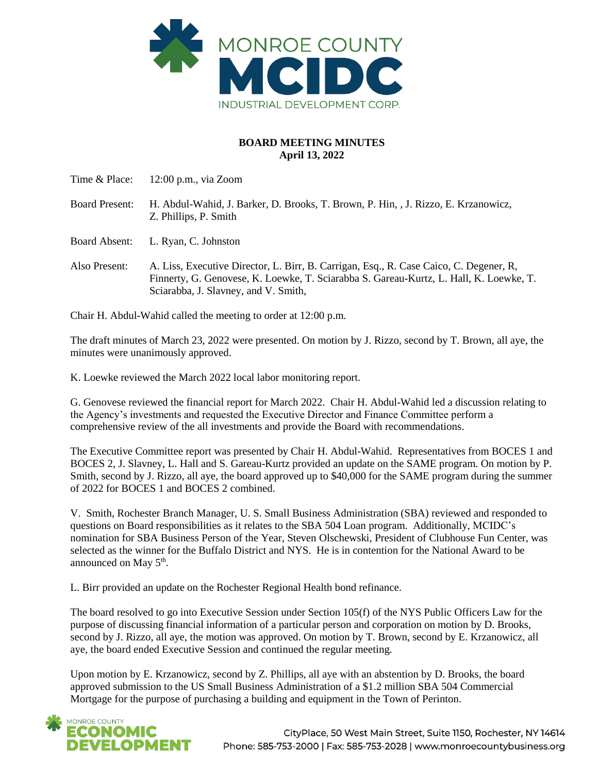

## **BOARD MEETING MINUTES April 13, 2022**

| Time & Place:         | $12:00$ p.m., via Zoom                                                                                                                                                                                                   |
|-----------------------|--------------------------------------------------------------------------------------------------------------------------------------------------------------------------------------------------------------------------|
| <b>Board Present:</b> | H. Abdul-Wahid, J. Barker, D. Brooks, T. Brown, P. Hin, J. Rizzo, E. Krzanowicz,<br>Z. Phillips, P. Smith                                                                                                                |
| <b>Board Absent:</b>  | L. Ryan, C. Johnston                                                                                                                                                                                                     |
| Also Present:         | A. Liss, Executive Director, L. Birr, B. Carrigan, Esq., R. Case Caico, C. Degener, R.<br>Finnerty, G. Genovese, K. Loewke, T. Sciarabba S. Gareau-Kurtz, L. Hall, K. Loewke, T.<br>Sciarabba, J. Slavney, and V. Smith, |

Chair H. Abdul-Wahid called the meeting to order at 12:00 p.m.

The draft minutes of March 23, 2022 were presented. On motion by J. Rizzo, second by T. Brown, all aye, the minutes were unanimously approved.

K. Loewke reviewed the March 2022 local labor monitoring report.

G. Genovese reviewed the financial report for March 2022. Chair H. Abdul-Wahid led a discussion relating to the Agency's investments and requested the Executive Director and Finance Committee perform a comprehensive review of the all investments and provide the Board with recommendations.

The Executive Committee report was presented by Chair H. Abdul-Wahid. Representatives from BOCES 1 and BOCES 2, J. Slavney, L. Hall and S. Gareau-Kurtz provided an update on the SAME program. On motion by P. Smith, second by J. Rizzo, all aye, the board approved up to \$40,000 for the SAME program during the summer of 2022 for BOCES 1 and BOCES 2 combined.

V. Smith, Rochester Branch Manager, U. S. Small Business Administration (SBA) reviewed and responded to questions on Board responsibilities as it relates to the SBA 504 Loan program. Additionally, MCIDC's nomination for SBA Business Person of the Year, Steven Olschewski, President of Clubhouse Fun Center, was selected as the winner for the Buffalo District and NYS. He is in contention for the National Award to be announced on May 5<sup>th</sup>.

L. Birr provided an update on the Rochester Regional Health bond refinance.

The board resolved to go into Executive Session under Section 105(f) of the NYS Public Officers Law for the purpose of discussing financial information of a particular person and corporation on motion by D. Brooks, second by J. Rizzo, all aye, the motion was approved. On motion by T. Brown, second by E. Krzanowicz, all aye, the board ended Executive Session and continued the regular meeting.

Upon motion by E. Krzanowicz, second by Z. Phillips, all aye with an abstention by D. Brooks, the board approved submission to the US Small Business Administration of a \$1.2 million SBA 504 Commercial Mortgage for the purpose of purchasing a building and equipment in the Town of Perinton.



CityPlace, 50 West Main Street, Suite 1150, Rochester, NY 14614 Phone: 585-753-2000 | Fax: 585-753-2028 | www.monroecountybusiness.org